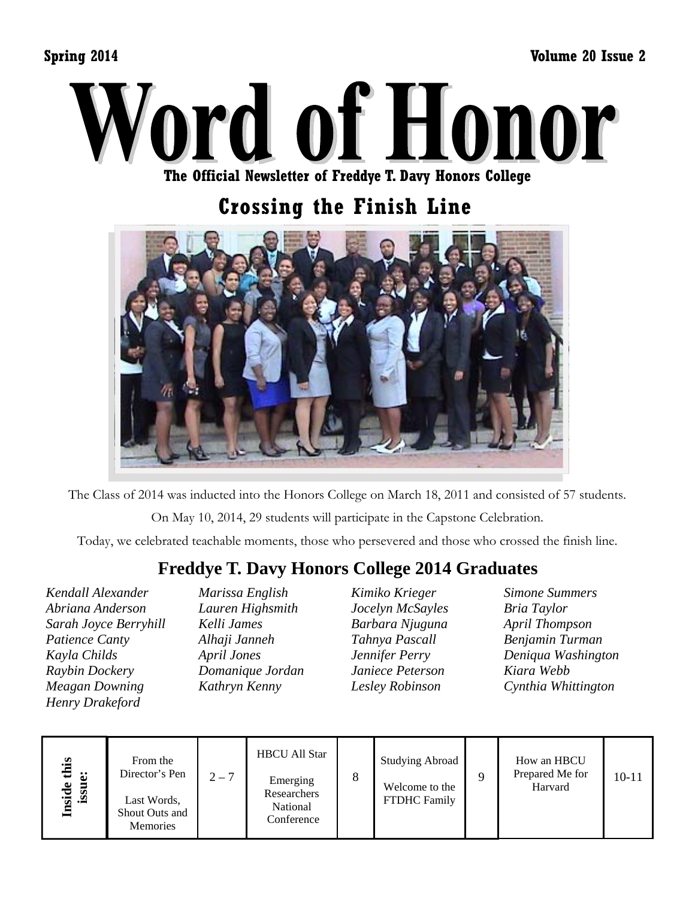**Spring 2014 Volume 20 Issue 2** 



**The Official Newsletter of Freddye T. Davy Honors College** 

# **Crossing the Finish Line**



The Class of 2014 was inducted into the Honors College on March 18, 2011 and consisted of 57 students.

On May 10, 2014, 29 students will participate in the Capstone Celebration.

Today, we celebrated teachable moments, those who persevered and those who crossed the finish line.

## **Freddye T. Davy Honors College 2014 Graduates**

*Kendall Alexander Abriana Anderson Sarah Joyce Berryhill Patience Canty Kayla Childs Raybin Dockery Meagan Downing Henry Drakeford* 

*Marissa English Lauren Highsmith Kelli James Alhaji Janneh April Jones Domanique Jordan Kathryn Kenny* 

*Kimiko Krieger Jocelyn McSayles Barbara Njuguna Tahnya Pascall Jennifer Perry Janiece Peterson Lesley Robinson* 

*Simone Summers Bria Taylor April Thompson Benjamin Turman Deniqua Washington Kiara Webb Cynthia Whittington* 

| this<br>မံ<br>Inside<br>ussi | From the<br>Director's Pen<br>Last Words,<br>Shout Outs and<br><b>Memories</b> | $2 - 7$ | <b>HBCU All Star</b><br>Emerging<br>Researchers<br>National<br>Conference | 8 | <b>Studying Abroad</b><br>Welcome to the<br><b>FTDHC Family</b> |  | How an HBCU<br>Prepared Me for<br>Harvard | $10 - 11$ |
|------------------------------|--------------------------------------------------------------------------------|---------|---------------------------------------------------------------------------|---|-----------------------------------------------------------------|--|-------------------------------------------|-----------|
|------------------------------|--------------------------------------------------------------------------------|---------|---------------------------------------------------------------------------|---|-----------------------------------------------------------------|--|-------------------------------------------|-----------|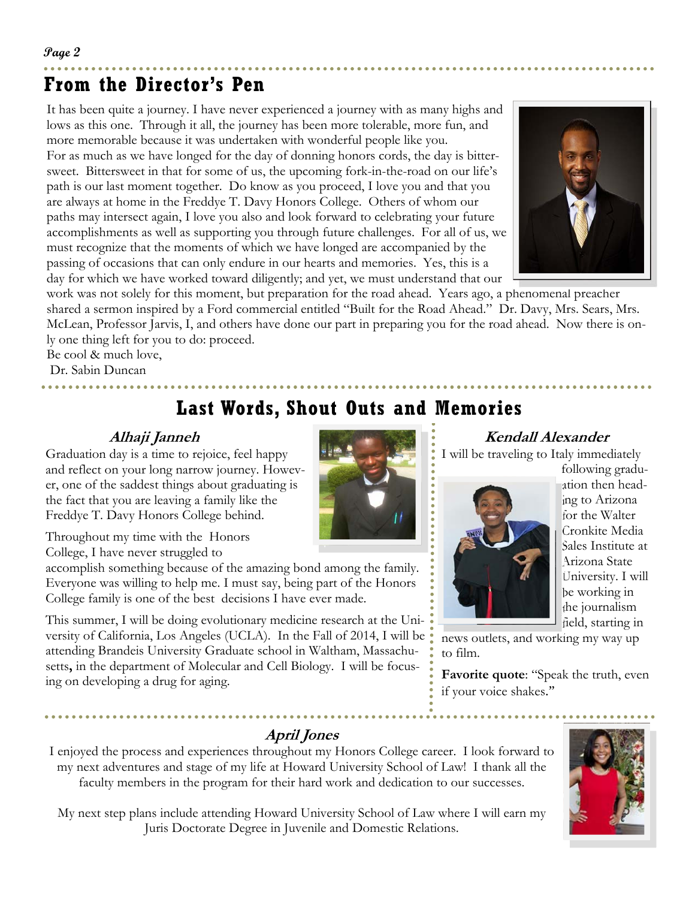# **From the Director's Pen**

It has been quite a journey. I have never experienced a journey with as many highs and lows as this one. Through it all, the journey has been more tolerable, more fun, and more memorable because it was undertaken with wonderful people like you. For as much as we have longed for the day of donning honors cords, the day is bittersweet. Bittersweet in that for some of us, the upcoming fork-in-the-road on our life's path is our last moment together. Do know as you proceed, I love you and that you are always at home in the Freddye T. Davy Honors College. Others of whom our paths may intersect again, I love you also and look forward to celebrating your future accomplishments as well as supporting you through future challenges. For all of us, we must recognize that the moments of which we have longed are accompanied by the passing of occasions that can only endure in our hearts and memories. Yes, this is a day for which we have worked toward diligently; and yet, we must understand that our



work was not solely for this moment, but preparation for the road ahead. Years ago, a phenomenal preacher shared a sermon inspired by a Ford commercial entitled "Built for the Road Ahead." Dr. Davy, Mrs. Sears, Mrs. McLean, Professor Jarvis, I, and others have done our part in preparing you for the road ahead. Now there is only one thing left for you to do: proceed.

Be cool & much love,

Dr. Sabin Duncan

# **Last Words, Shout Outs and Memories**

### **Alhaji Janneh**

Graduation day is a time to rejoice, feel happy and reflect on your long narrow journey. However, one of the saddest things about graduating is the fact that you are leaving a family like the Freddye T. Davy Honors College behind.

Throughout my time with the Honors College, I have never struggled to

accomplish something because of the amazing bond among the family. Everyone was willing to help me. I must say, being part of the Honors College family is one of the best decisions I have ever made.

This summer, I will be doing evolutionary medicine research at the University of California, Los Angeles (UCLA). In the Fall of 2014, I will be attending Brandeis University Graduate school in Waltham, Massachusetts**,** in the department of Molecular and Cell Biology. I will be focusing on developing a drug for aging.

### **Kendall Alexander**

I will be traveling to Italy immediately



following graduation then heading to Arizona for the Walter Cronkite Media Sales Institute at Arizona State University. I will be working in the journalism field, starting in

news outlets, and working my way up to film.

**Favorite quote**: "Speak the truth, even if your voice shakes."

### **April Jones**

I enjoyed the process and experiences throughout my Honors College career. I look forward to my next adventures and stage of my life at Howard University School of Law! I thank all the faculty members in the program for their hard work and dedication to our successes.

My next step plans include attending Howard University School of Law where I will earn my Juris Doctorate Degree in Juvenile and Domestic Relations.

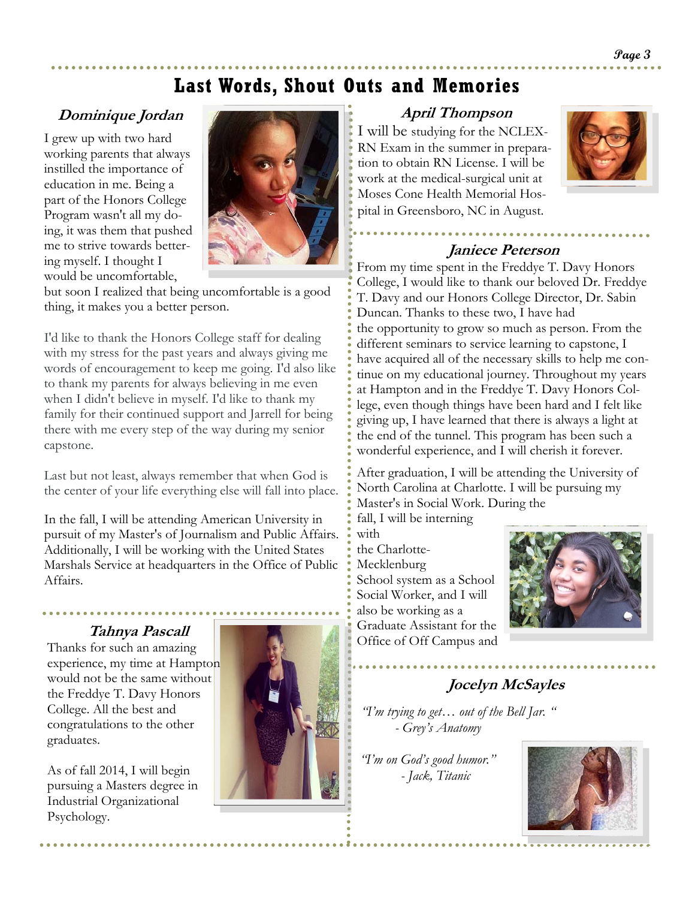## **Last Words, Shout Outs and Memories**

### **Dominique Jordan**

I grew up with two hard working parents that always instilled the importance of education in me. Being a part of the Honors College Program wasn't all my doing, it was them that pushed me to strive towards bettering myself. I thought I would be uncomfortable,



but soon I realized that being uncomfortable is a good thing, it makes you a better person.

I'd like to thank the Honors College staff for dealing with my stress for the past years and always giving me words of encouragement to keep me going. I'd also like to thank my parents for always believing in me even when I didn't believe in myself. I'd like to thank my family for their continued support and Jarrell for being there with me every step of the way during my senior capstone.

Last but not least, always remember that when God is the center of your life everything else will fall into place.

In the fall, I will be attending American University in pursuit of my Master's of Journalism and Public Affairs. Additionally, I will be working with the United States Marshals Service at headquarters in the Office of Public Affairs.

Thanks for such an amazing experience, my time at Hampton would not be the same without the Freddye T. Davy Honors College. All the best and congratulations to the other graduates.

As of fall 2014, I will begin pursuing a Masters degree in Industrial Organizational Psychology.



#### **April Thompson**

I will be studying for the NCLEX-RN Exam in the summer in preparation to obtain RN License. I will be work at the medical-surgical unit at Moses Cone Health Memorial Hospital in Greensboro, NC in August.



#### **Janiece Peterson**

From my time spent in the Freddye T. Davy Honors College, I would like to thank our beloved Dr. Freddye T. Davy and our Honors College Director, Dr. Sabin Duncan. Thanks to these two, I have had the opportunity to grow so much as person. From the different seminars to service learning to capstone, I have acquired all of the necessary skills to help me continue on my educational journey. Throughout my years at Hampton and in the Freddye T. Davy Honors College, even though things have been hard and I felt like giving up, I have learned that there is always a light at the end of the tunnel. This program has been such a wonderful experience, and I will cherish it forever.

After graduation, I will be attending the University of North Carolina at Charlotte. I will be pursuing my Master's in Social Work. During the

fall, I will be interning with the Charlotte-Mecklenburg School system as a School Social Worker, and I will also be working as a Graduate Assistant for the **Tahnya Pascall Craquate Assistant for the** 



### **Jocelyn McSayles**

*"I'm trying to get… out of the Bell Jar. " - Grey's Anatomy* 

*"I'm on God's good humor." - Jack, Titanic*

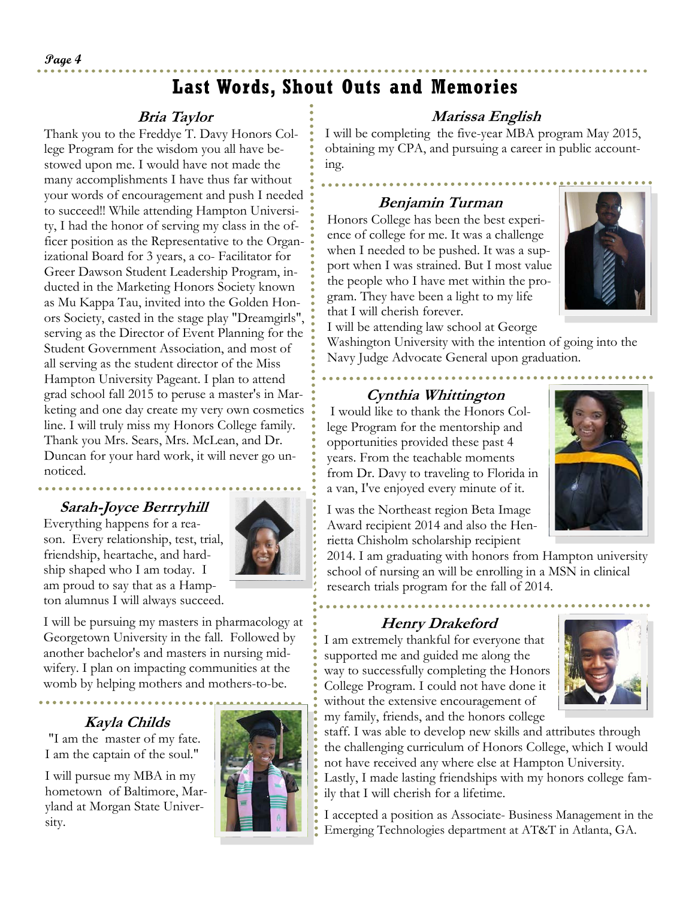# **Last Words, Shout Outs and Memories**

### **Bria Taylor**

Thank you to the Freddye T. Davy Honors College Program for the wisdom you all have bestowed upon me. I would have not made the many accomplishments I have thus far without your words of encouragement and push I needed to succeed!! While attending Hampton University, I had the honor of serving my class in the officer position as the Representative to the Organizational Board for 3 years, a co- Facilitator for Greer Dawson Student Leadership Program, inducted in the Marketing Honors Society known as Mu Kappa Tau, invited into the Golden Honors Society, casted in the stage play "Dreamgirls", serving as the Director of Event Planning for the Student Government Association, and most of all serving as the student director of the Miss Hampton University Pageant. I plan to attend grad school fall 2015 to peruse a master's in Marketing and one day create my very own cosmetics line. I will truly miss my Honors College family. Thank you Mrs. Sears, Mrs. McLean, and Dr. Duncan for your hard work, it will never go unnoticed.

#### **Sarah-Joyce Berrryhill**

Everything happens for a reason. Every relationship, test, trial, friendship, heartache, and hardship shaped who I am today. I am proud to say that as a Hampton alumnus I will always succeed.



I will be pursuing my masters in pharmacology at Georgetown University in the fall. Followed by another bachelor's and masters in nursing midwifery. I plan on impacting communities at the womb by helping mothers and mothers-to-be.

### **Kayla Childs**

 "I am the master of my fate. I am the captain of the soul."

I will pursue my MBA in my hometown of Baltimore, Maryland at Morgan State University.



### **Marissa English**

I will be completing the five-year MBA program May 2015, obtaining my CPA, and pursuing a career in public accounting.

### **Benjamin Turman**

Honors College has been the best experience of college for me. It was a challenge when I needed to be pushed. It was a support when I was strained. But I most value the people who I have met within the program. They have been a light to my life that I will cherish forever.



I will be attending law school at George

Washington University with the intention of going into the Navy Judge Advocate General upon graduation.

#### **Cynthia Whittington**

 I would like to thank the Honors College Program for the mentorship and opportunities provided these past 4 years. From the teachable moments from Dr. Davy to traveling to Florida in a van, I've enjoyed every minute of it.

I was the Northeast region Beta Image Award recipient 2014 and also the Henrietta Chisholm scholarship recipient



2014. I am graduating with honors from Hampton university school of nursing an will be enrolling in a MSN in clinical research trials program for the fall of 2014.

### **Henry Drakeford**

I am extremely thankful for everyone that supported me and guided me along the way to successfully completing the Honors College Program. I could not have done it without the extensive encouragement of my family, friends, and the honors college



staff. I was able to develop new skills and attributes through the challenging curriculum of Honors College, which I would not have received any where else at Hampton University. Lastly, I made lasting friendships with my honors college family that I will cherish for a lifetime.

I accepted a position as Associate- Business Management in the Emerging Technologies department at AT&T in Atlanta, GA.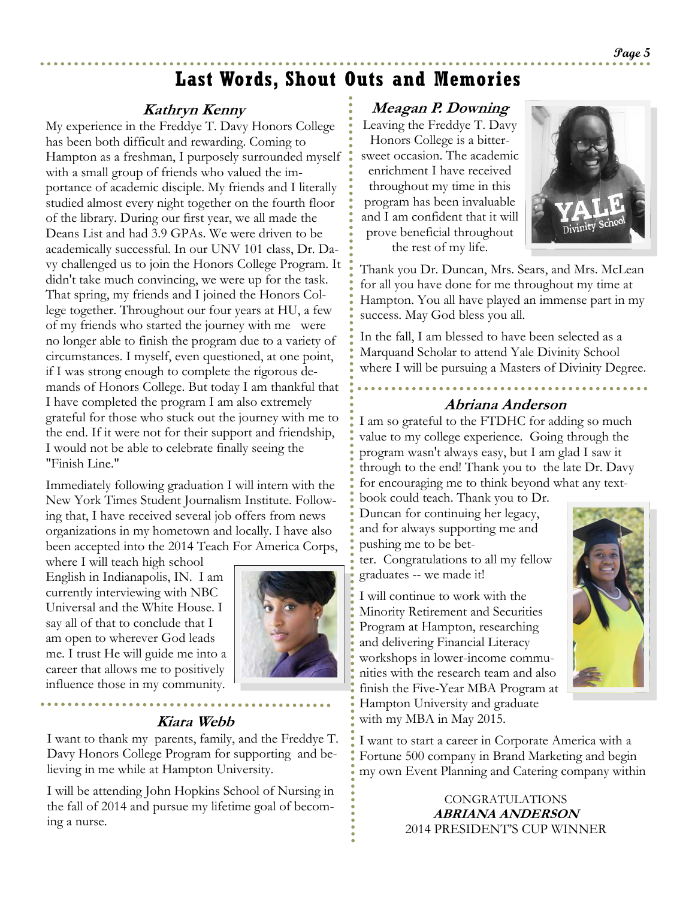### **Last Words, Shout Outs and Memories**

### **Kathryn Kenny**

My experience in the Freddye T. Davy Honors College has been both difficult and rewarding. Coming to Hampton as a freshman, I purposely surrounded myself with a small group of friends who valued the importance of academic disciple. My friends and I literally studied almost every night together on the fourth floor of the library. During our first year, we all made the Deans List and had 3.9 GPAs. We were driven to be academically successful. In our UNV 101 class, Dr. Davy challenged us to join the Honors College Program. It didn't take much convincing, we were up for the task. That spring, my friends and I joined the Honors College together. Throughout our four years at HU, a few of my friends who started the journey with me were no longer able to finish the program due to a variety of circumstances. I myself, even questioned, at one point, if I was strong enough to complete the rigorous demands of Honors College. But today I am thankful that I have completed the program I am also extremely grateful for those who stuck out the journey with me to the end. If it were not for their support and friendship, I would not be able to celebrate finally seeing the "Finish Line."

Immediately following graduation I will intern with the New York Times Student Journalism Institute. Following that, I have received several job offers from news organizations in my hometown and locally. I have also been accepted into the 2014 Teach For America Corps,

where I will teach high school English in Indianapolis, IN. I am currently interviewing with NBC Universal and the White House. I say all of that to conclude that I am open to wherever God leads me. I trust He will guide me into a career that allows me to positively influence those in my community.



#### **Kiara Webb**

I want to thank my parents, family, and the Freddye T. Davy Honors College Program for supporting and believing in me while at Hampton University.

I will be attending John Hopkins School of Nursing in the fall of 2014 and pursue my lifetime goal of becoming a nurse.

#### **Meagan P. Downing**

Leaving the Freddye T. Davy Honors College is a bittersweet occasion. The academic enrichment I have received throughout my time in this program has been invaluable and I am confident that it will prove beneficial throughout the rest of my life.



Thank you Dr. Duncan, Mrs. Sears, and Mrs. McLean for all you have done for me throughout my time at Hampton. You all have played an immense part in my success. May God bless you all.

In the fall, I am blessed to have been selected as a Marquand Scholar to attend Yale Divinity School where I will be pursuing a Masters of Divinity Degree.

#### **Abriana Anderson**

I am so grateful to the FTDHC for adding so much value to my college experience. Going through the program wasn't always easy, but I am glad I saw it through to the end! Thank you to the late Dr. Davy for encouraging me to think beyond what any text-

book could teach. Thank you to Dr. Duncan for continuing her legacy, and for always supporting me and pushing me to be bet-

ter. Congratulations to all my fellow graduates -- we made it!

I will continue to work with the Minority Retirement and Securities Program at Hampton, researching and delivering Financial Literacy workshops in lower-income communities with the research team and also finish the Five-Year MBA Program at Hampton University and graduate with my MBA in May 2015.



I want to start a career in Corporate America with a Fortune 500 company in Brand Marketing and begin my own Event Planning and Catering company within

> CONGRATULATIONS **ABRIANA ANDERSON**  2014 PRESIDENT'S CUP WINNER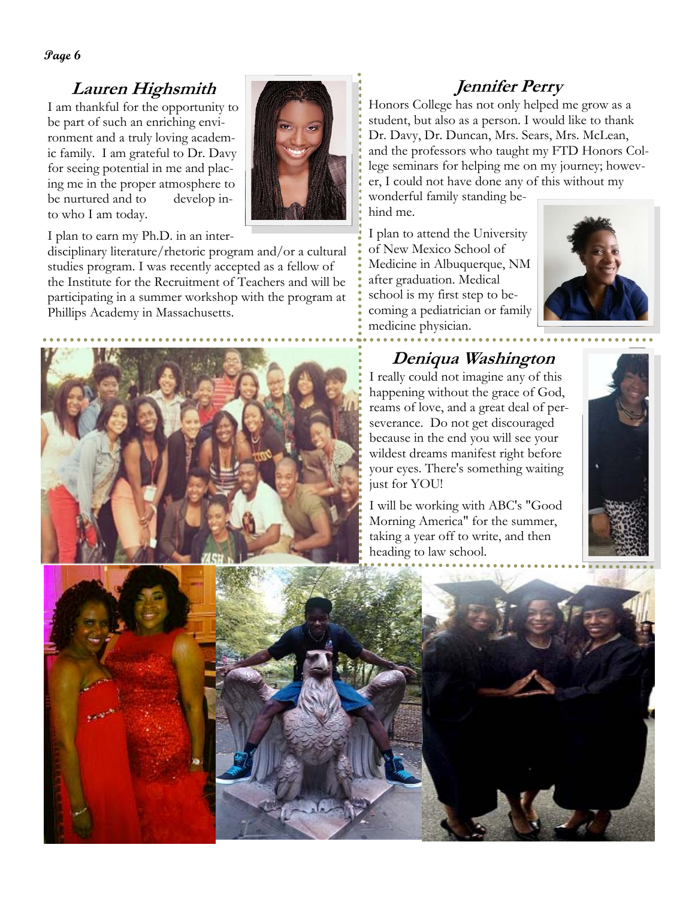**Page 6** 

### **Lauren Highsmith**

I am thankful for the opportunity to be part of such an enriching environment and a truly loving academic family. I am grateful to Dr. Davy for seeing potential in me and placing me in the proper atmosphere to be nurtured and to develop into who I am today.



I plan to earn my Ph.D. in an inter-

disciplinary literature/rhetoric program and/or a cultural studies program. I was recently accepted as a fellow of the Institute for the Recruitment of Teachers and will be participating in a summer workshop with the program at Phillips Academy in Massachusetts.



## **Jennifer Perry**

Honors College has not only helped me grow as a student, but also as a person. I would like to thank Dr. Davy, Dr. Duncan, Mrs. Sears, Mrs. McLean, and the professors who taught my FTD Honors College seminars for helping me on my journey; however, I could not have done any of this without my wonderful family standing be-

hind me.

I plan to attend the University of New Mexico School of Medicine in Albuquerque, NM after graduation. Medical school is my first step to becoming a pediatrician or family medicine physician.



### **Deniqua Washington**

I really could not imagine any of this happening without the grace of God, reams of love, and a great deal of perseverance. Do not get discouraged because in the end you will see your wildest dreams manifest right before your eyes. There's something waiting just for YOU!

I will be working with ABC's "Good Morning America" for the summer, taking a year off to write, and then heading to law school.



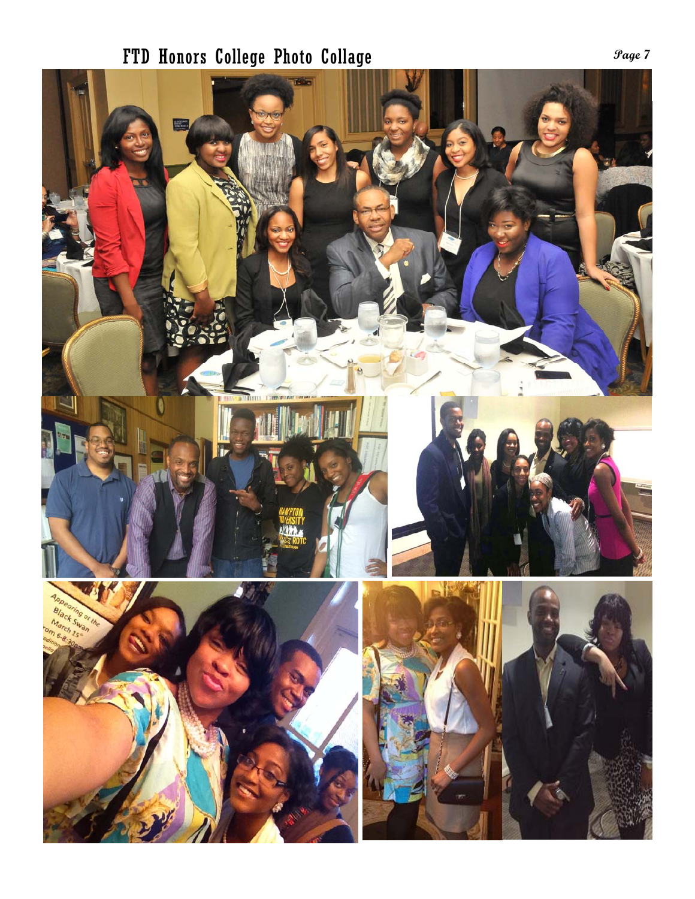# **Page 7** FTD Honors College Photo Collage

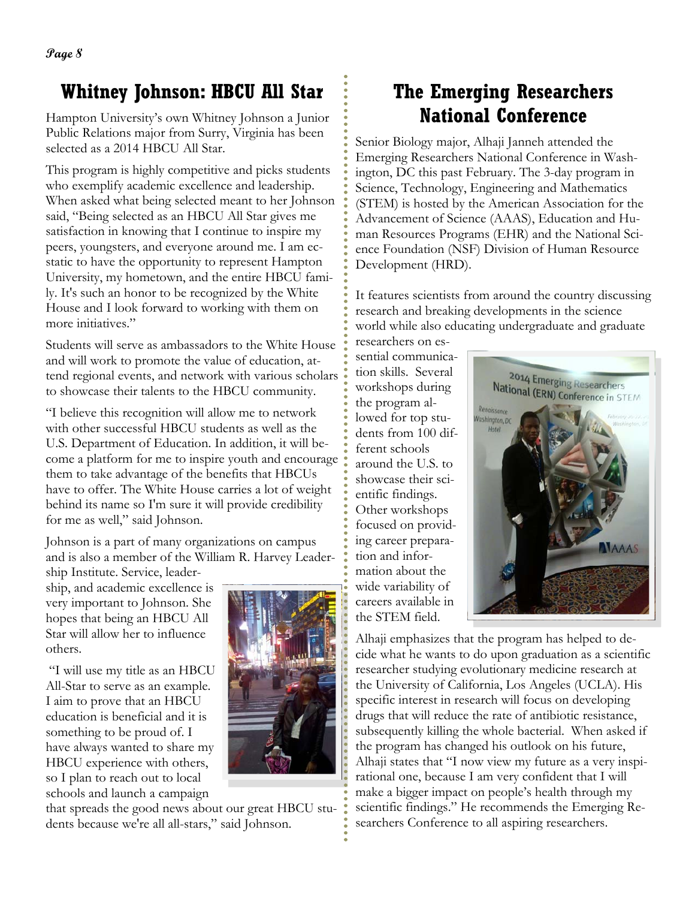# **Whitney Johnson: HBCU All Star**

Hampton University's own Whitney Johnson a Junior Public Relations major from Surry, Virginia has been selected as a 2014 HBCU All Star.

This program is highly competitive and picks students who exemplify academic excellence and leadership. When asked what being selected meant to her Johnson said, "Being selected as an HBCU All Star gives me satisfaction in knowing that I continue to inspire my peers, youngsters, and everyone around me. I am ecstatic to have the opportunity to represent Hampton University, my hometown, and the entire HBCU family. It's such an honor to be recognized by the White House and I look forward to working with them on more initiatives."

Students will serve as ambassadors to the White House and will work to promote the value of education, attend regional events, and network with various scholars to showcase their talents to the HBCU community.

"I believe this recognition will allow me to network with other successful HBCU students as well as the U.S. Department of Education. In addition, it will become a platform for me to inspire youth and encourage them to take advantage of the benefits that HBCUs have to offer. The White House carries a lot of weight behind its name so I'm sure it will provide credibility for me as well," said Johnson.

Johnson is a part of many organizations on campus and is also a member of the William R. Harvey Leader-

ship Institute. Service, leadership, and academic excellence is very important to Johnson. She hopes that being an HBCU All Star will allow her to influence others.

 "I will use my title as an HBCU All-Star to serve as an example. I aim to prove that an HBCU education is beneficial and it is something to be proud of. I have always wanted to share my HBCU experience with others, so I plan to reach out to local schools and launch a campaign



that spreads the good news about our great HBCU students because we're all all-stars," said Johnson.

# **The Emerging Researchers National Conference**

Senior Biology major, Alhaji Janneh attended the Emerging Researchers National Conference in Washington, DC this past February. The 3-day program in Science, Technology, Engineering and Mathematics (STEM) is hosted by the American Association for the Advancement of Science (AAAS), Education and Human Resources Programs (EHR) and the National Science Foundation (NSF) Division of Human Resource Development (HRD).

It features scientists from around the country discussing research and breaking developments in the science world while also educating undergraduate and graduate

researchers on essential communication skills. Several workshops during the program allowed for top students from 100 different schools around the U.S. to showcase their scientific findings. Other workshops focused on providing career preparation and information about the wide variability of careers available in the STEM field.



Alhaji emphasizes that the program has helped to decide what he wants to do upon graduation as a scientific researcher studying evolutionary medicine research at the University of California, Los Angeles (UCLA). His specific interest in research will focus on developing drugs that will reduce the rate of antibiotic resistance, subsequently killing the whole bacterial. When asked if the program has changed his outlook on his future, Alhaji states that "I now view my future as a very inspirational one, because I am very confident that I will make a bigger impact on people's health through my scientific findings." He recommends the Emerging Researchers Conference to all aspiring researchers.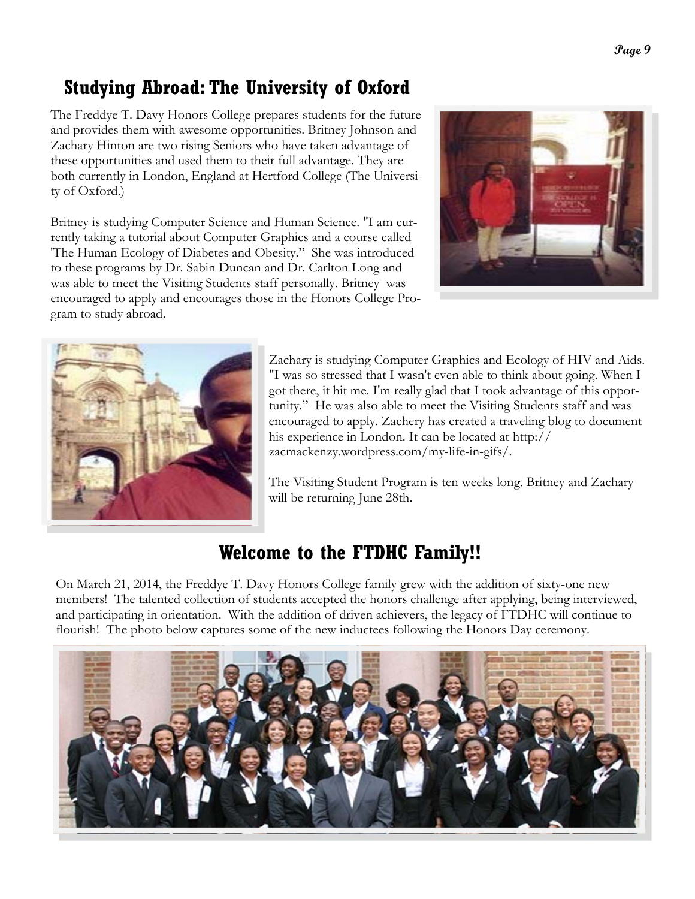# **Studying Abroad: The University of Oxford**

The Freddye T. Davy Honors College prepares students for the future and provides them with awesome opportunities. Britney Johnson and Zachary Hinton are two rising Seniors who have taken advantage of these opportunities and used them to their full advantage. They are both currently in London, England at Hertford College (The University of Oxford.)

Britney is studying Computer Science and Human Science. "I am currently taking a tutorial about Computer Graphics and a course called 'The Human Ecology of Diabetes and Obesity." She was introduced to these programs by Dr. Sabin Duncan and Dr. Carlton Long and was able to meet the Visiting Students staff personally. Britney was encouraged to apply and encourages those in the Honors College Program to study abroad.





Zachary is studying Computer Graphics and Ecology of HIV and Aids. "I was so stressed that I wasn't even able to think about going. When I got there, it hit me. I'm really glad that I took advantage of this opportunity." He was also able to meet the Visiting Students staff and was encouraged to apply. Zachery has created a traveling blog to document his experience in London. It can be located at http:// zacmackenzy.wordpress.com/my-life-in-gifs/.

The Visiting Student Program is ten weeks long. Britney and Zachary will be returning June 28th.

# **Welcome to the FTDHC Family!!**

On March 21, 2014, the Freddye T. Davy Honors College family grew with the addition of sixty-one new members! The talented collection of students accepted the honors challenge after applying, being interviewed, and participating in orientation. With the addition of driven achievers, the legacy of FTDHC will continue to flourish! The photo below captures some of the new inductees following the Honors Day ceremony.

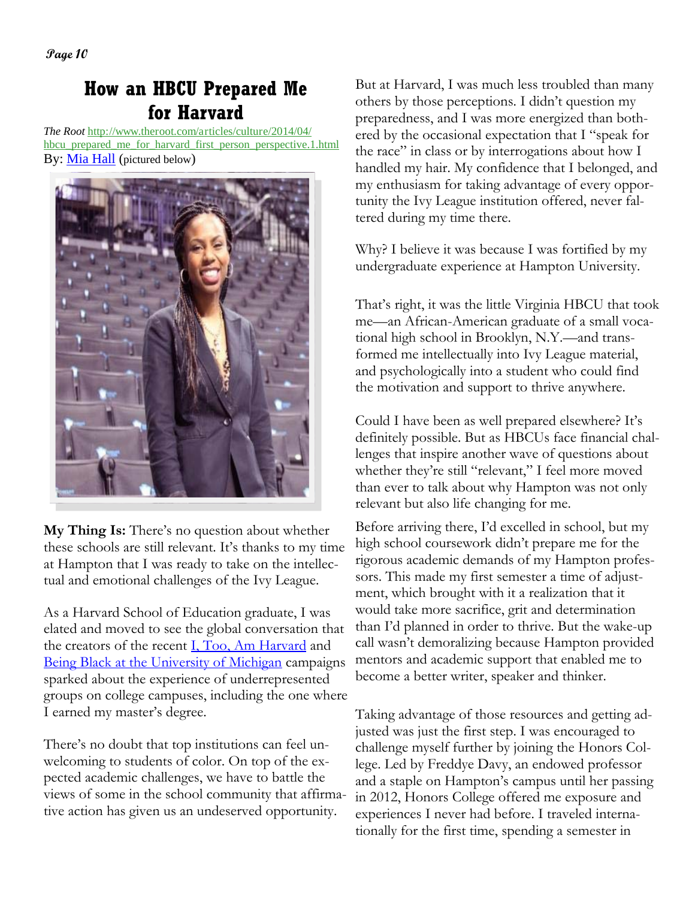**Page 10** 

# **How an HBCU Prepared Me for Harvard**

*The Root* http://www.theroot.com/articles/culture/2014/04/ hbcu\_prepared\_me\_for\_harvard\_first\_person\_perspective.1.html By: Mia Hall (pictured below)



**My Thing Is:** There's no question about whether these schools are still relevant. It's thanks to my time at Hampton that I was ready to take on the intellectual and emotional challenges of the Ivy League.

As a Harvard School of Education graduate, I was elated and moved to see the global conversation that the creators of the recent I, Too, Am Harvard and Being Black at the University of Michigan campaigns sparked about the experience of underrepresented groups on college campuses, including the one where I earned my master's degree.

There's no doubt that top institutions can feel unwelcoming to students of color. On top of the expected academic challenges, we have to battle the views of some in the school community that affirmative action has given us an undeserved opportunity.

But at Harvard, I was much less troubled than many others by those perceptions. I didn't question my preparedness, and I was more energized than bothered by the occasional expectation that I "speak for the race" in class or by interrogations about how I handled my hair. My confidence that I belonged, and my enthusiasm for taking advantage of every opportunity the Ivy League institution offered, never faltered during my time there.

Why? I believe it was because I was fortified by my undergraduate experience at Hampton University.

That's right, it was the little Virginia HBCU that took me—an African-American graduate of a small vocational high school in Brooklyn, N.Y.—and transformed me intellectually into Ivy League material, and psychologically into a student who could find the motivation and support to thrive anywhere.

Could I have been as well prepared elsewhere? It's definitely possible. But as HBCUs face financial challenges that inspire another wave of questions about whether they're still "relevant," I feel more moved than ever to talk about why Hampton was not only relevant but also life changing for me.

Before arriving there, I'd excelled in school, but my high school coursework didn't prepare me for the rigorous academic demands of my Hampton professors. This made my first semester a time of adjustment, which brought with it a realization that it would take more sacrifice, grit and determination than I'd planned in order to thrive. But the wake-up call wasn't demoralizing because Hampton provided mentors and academic support that enabled me to become a better writer, speaker and thinker.

Taking advantage of those resources and getting adjusted was just the first step. I was encouraged to challenge myself further by joining the Honors College. Led by Freddye Davy, an endowed professor and a staple on Hampton's campus until her passing in 2012, Honors College offered me exposure and experiences I never had before. I traveled internationally for the first time, spending a semester in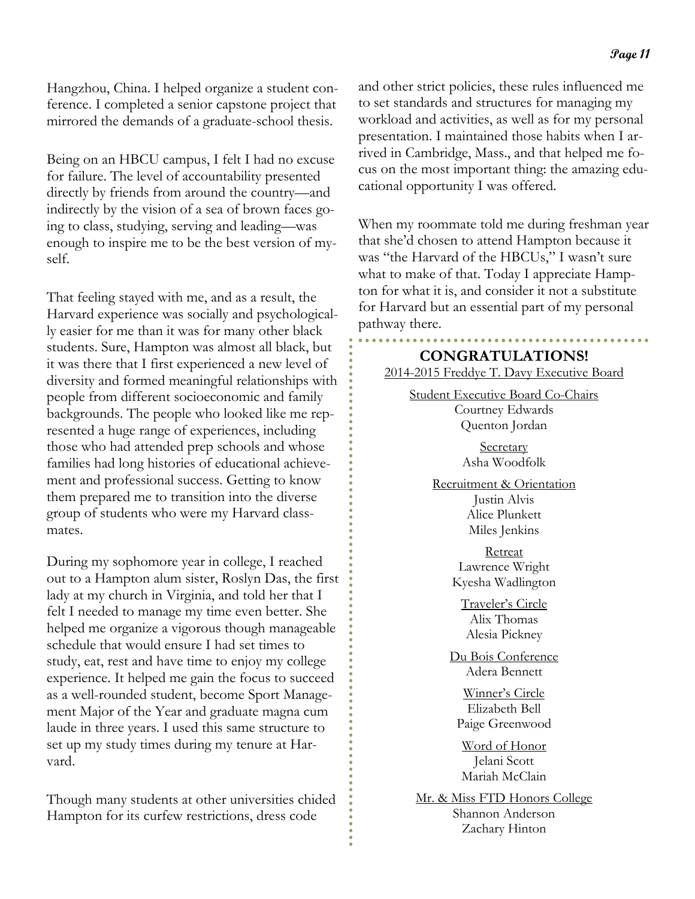Hangzhou, China. I helped organize a student conference. I completed a senior capstone project that mirrored the demands of a graduate-school thesis.

Being on an HBCU campus, I felt I had no excuse for failure. The level of accountability presented directly by friends from around the country—and indirectly by the vision of a sea of brown faces going to class, studying, serving and leading—was enough to inspire me to be the best version of myself.

That feeling stayed with me, and as a result, the Harvard experience was socially and psychologically easier for me than it was for many other black students. Sure, Hampton was almost all black, but it was there that I first experienced a new level of diversity and formed meaningful relationships with people from different socioeconomic and family backgrounds. The people who looked like me represented a huge range of experiences, including those who had attended prep schools and whose families had long histories of educational achievement and professional success. Getting to know them prepared me to transition into the diverse group of students who were my Harvard classmates.

During my sophomore year in college, I reached out to a Hampton alum sister, Roslyn Das, the first lady at my church in Virginia, and told her that I felt I needed to manage my time even better. She helped me organize a vigorous though manageable schedule that would ensure I had set times to study, eat, rest and have time to enjoy my college experience. It helped me gain the focus to succeed as a well-rounded student, become Sport Management Major of the Year and graduate magna cum laude in three years. I used this same structure to set up my study times during my tenure at Harvard.

Though many students at other universities chided Hampton for its curfew restrictions, dress code

and other strict policies, these rules influenced me to set standards and structures for managing my workload and activities, as well as for my personal presentation. I maintained those habits when I arrived in Cambridge, Mass., and that helped me focus on the most important thing: the amazing educational opportunity I was offered.

When my roommate told me during freshman year that she'd chosen to attend Hampton because it was "the Harvard of the HBCUs," I wasn't sure what to make of that. Today I appreciate Hampton for what it is, and consider it not a substitute for Harvard but an essential part of my personal pathway there.

**CONGRATULATIONS!**  2014-2015 Freddye T. Davy Executive Board

Student Executive Board Co-Chairs Courtney Edwards Quenton Jordan

> **Secretary** Asha Woodfolk

Recruitment & Orientation Justin Alvis Alice Plunkett Miles Jenkins

> Retreat Lawrence Wright Kyesha Wadlington

Traveler's Circle Alix Thomas Alesia Pickney

Du Bois Conference Adera Bennett

Winner's Circle Elizabeth Bell Paige Greenwood

Word of Honor Jelani Scott Mariah McClain

Mr. & Miss FTD Honors College Shannon Anderson Zachary Hinton